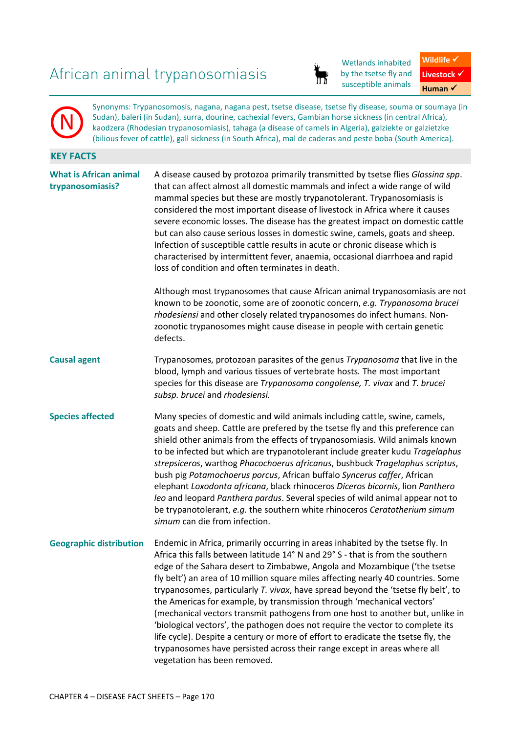# African animal trypanosomiasis



Wetlands inhabited by the tsetse fly and susceptible animals



Synonyms: Trypanosomosis, nagana, nagana pest, tsetse disease, tsetse fly disease, souma or soumaya (in Sudan), baleri (in Sudan), surra, dourine, cachexial fevers, Gambian horse sickness (in central Africa), kaodzera (Rhodesian trypanosomiasis), tahaga (a disease of camels in Algeria), galziekte or galzietzke (bilious fever of cattle), gall sickness (in South Africa), mal de caderas and peste boba (South America).

# **KEY FACTS**

N

| <b>What is African animal</b><br>trypanosomiasis? | A disease caused by protozoa primarily transmitted by tsetse flies Glossina spp.<br>that can affect almost all domestic mammals and infect a wide range of wild<br>mammal species but these are mostly trypanotolerant. Trypanosomiasis is<br>considered the most important disease of livestock in Africa where it causes<br>severe economic losses. The disease has the greatest impact on domestic cattle<br>but can also cause serious losses in domestic swine, camels, goats and sheep.<br>Infection of susceptible cattle results in acute or chronic disease which is<br>characterised by intermittent fever, anaemia, occasional diarrhoea and rapid<br>loss of condition and often terminates in death.                                                                                                                                                       |  |  |
|---------------------------------------------------|-------------------------------------------------------------------------------------------------------------------------------------------------------------------------------------------------------------------------------------------------------------------------------------------------------------------------------------------------------------------------------------------------------------------------------------------------------------------------------------------------------------------------------------------------------------------------------------------------------------------------------------------------------------------------------------------------------------------------------------------------------------------------------------------------------------------------------------------------------------------------|--|--|
|                                                   | Although most trypanosomes that cause African animal trypanosomiasis are not<br>known to be zoonotic, some are of zoonotic concern, e.g. Trypanosoma brucei<br>rhodesiensi and other closely related trypanosomes do infect humans. Non-<br>zoonotic trypanosomes might cause disease in people with certain genetic<br>defects.                                                                                                                                                                                                                                                                                                                                                                                                                                                                                                                                        |  |  |
| <b>Causal agent</b>                               | Trypanosomes, protozoan parasites of the genus Trypanosoma that live in the<br>blood, lymph and various tissues of vertebrate hosts. The most important<br>species for this disease are Trypanosoma congolense, T. vivax and T. brucei<br>subsp. brucei and rhodesiensi.                                                                                                                                                                                                                                                                                                                                                                                                                                                                                                                                                                                                |  |  |
| <b>Species affected</b>                           | Many species of domestic and wild animals including cattle, swine, camels,<br>goats and sheep. Cattle are prefered by the tsetse fly and this preference can<br>shield other animals from the effects of trypanosomiasis. Wild animals known<br>to be infected but which are trypanotolerant include greater kudu Tragelaphus<br>strepsiceros, warthog Phacochoerus africanus, bushbuck Tragelaphus scriptus,<br>bush pig Potamochoerus porcus, African buffalo Syncerus caffer, African<br>elephant Loxodonta africana, black rhinoceros Diceros bicornis, lion Panthero<br>leo and leopard Panthera pardus. Several species of wild animal appear not to<br>be trypanotolerant, e.g. the southern white rhinoceros Ceratotherium simum<br>simum can die from infection.                                                                                               |  |  |
| <b>Geographic distribution</b>                    | Endemic in Africa, primarily occurring in areas inhabited by the tsetse fly. In<br>Africa this falls between latitude 14° N and 29° S - that is from the southern<br>edge of the Sahara desert to Zimbabwe, Angola and Mozambique ('the tsetse<br>fly belt') an area of 10 million square miles affecting nearly 40 countries. Some<br>trypanosomes, particularly T. vivax, have spread beyond the 'tsetse fly belt', to<br>the Americas for example, by transmission through 'mechanical vectors'<br>(mechanical vectors transmit pathogens from one host to another but, unlike in<br>'biological vectors', the pathogen does not require the vector to complete its<br>life cycle). Despite a century or more of effort to eradicate the tsetse fly, the<br>trypanosomes have persisted across their range except in areas where all<br>vegetation has been removed. |  |  |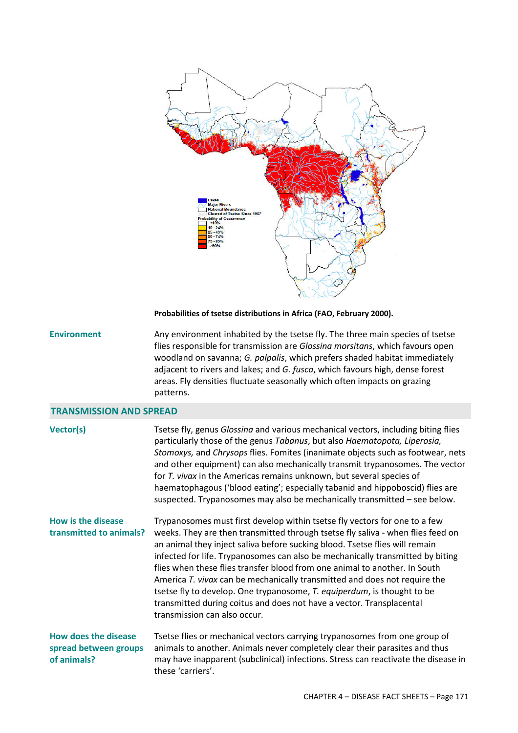

**Probabilities of tsetse distributions in Africa (FAO, February 2000).**

**Environment** Any environment inhabited by the tsetse fly. The three main species of tsetse flies responsible for transmission are *Glossina morsitans*, which favours open woodland on savanna; *G. palpalis*, which prefers shaded habitat immediately adjacent to rivers and lakes; and *G. fusca*, which favours high, dense forest areas. Fly densities fluctuate seasonally which often impacts on grazing patterns.

## **TRANSMISSION AND SPREAD**

| Vector(s)                                                           | Tsetse fly, genus Glossina and various mechanical vectors, including biting flies<br>particularly those of the genus Tabanus, but also Haematopota, Liperosia,<br>Stomoxys, and Chrysops flies. Fomites (inanimate objects such as footwear, nets<br>and other equipment) can also mechanically transmit trypanosomes. The vector<br>for T. vivax in the Americas remains unknown, but several species of<br>haematophagous ('blood eating'; especially tabanid and hippoboscid) flies are<br>suspected. Trypanosomes may also be mechanically transmitted - see below.                                                                                                      |
|---------------------------------------------------------------------|------------------------------------------------------------------------------------------------------------------------------------------------------------------------------------------------------------------------------------------------------------------------------------------------------------------------------------------------------------------------------------------------------------------------------------------------------------------------------------------------------------------------------------------------------------------------------------------------------------------------------------------------------------------------------|
| How is the disease<br>transmitted to animals?                       | Trypanosomes must first develop within tsetse fly vectors for one to a few<br>weeks. They are then transmitted through tsetse fly saliva - when flies feed on<br>an animal they inject saliva before sucking blood. Tsetse flies will remain<br>infected for life. Trypanosomes can also be mechanically transmitted by biting<br>flies when these flies transfer blood from one animal to another. In South<br>America T. vivax can be mechanically transmitted and does not require the<br>tsetse fly to develop. One trypanosome, T. equiperdum, is thought to be<br>transmitted during coitus and does not have a vector. Transplacental<br>transmission can also occur. |
| <b>How does the disease</b><br>spread between groups<br>of animals? | Tsetse flies or mechanical vectors carrying trypanosomes from one group of<br>animals to another. Animals never completely clear their parasites and thus<br>may have inapparent (subclinical) infections. Stress can reactivate the disease in<br>these 'carriers'.                                                                                                                                                                                                                                                                                                                                                                                                         |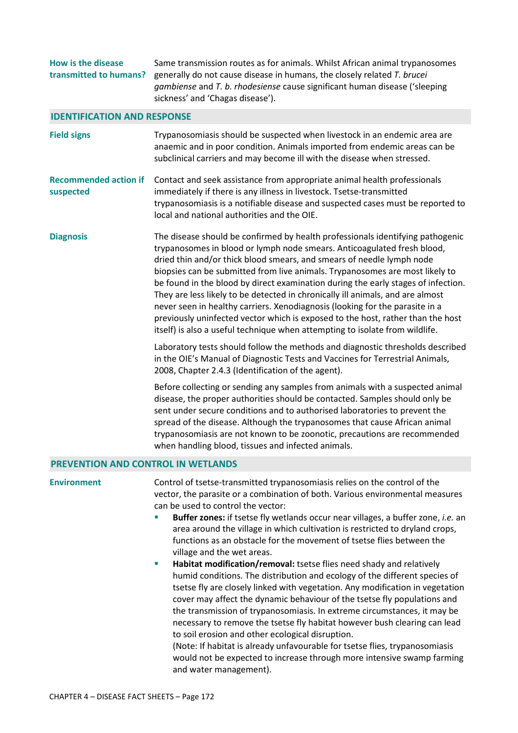| <b>How is the disease</b><br>transmitted to humans? | Same transmission routes as for animals. Whilst African animal trypanosomes<br>generally do not cause disease in humans, the closely related T. brucei<br>gambiense and T. b. rhodesiense cause significant human disease ('sleeping<br>sickness' and 'Chagas disease').                                                                                                                                                                                                                                                                                                                                                                                                                                                                                                                                                                                                                                                                                                                                                                                                                                                                                                    |  |  |  |
|-----------------------------------------------------|-----------------------------------------------------------------------------------------------------------------------------------------------------------------------------------------------------------------------------------------------------------------------------------------------------------------------------------------------------------------------------------------------------------------------------------------------------------------------------------------------------------------------------------------------------------------------------------------------------------------------------------------------------------------------------------------------------------------------------------------------------------------------------------------------------------------------------------------------------------------------------------------------------------------------------------------------------------------------------------------------------------------------------------------------------------------------------------------------------------------------------------------------------------------------------|--|--|--|
| <b>IDENTIFICATION AND RESPONSE</b>                  |                                                                                                                                                                                                                                                                                                                                                                                                                                                                                                                                                                                                                                                                                                                                                                                                                                                                                                                                                                                                                                                                                                                                                                             |  |  |  |
| <b>Field signs</b>                                  | Trypanosomiasis should be suspected when livestock in an endemic area are<br>anaemic and in poor condition. Animals imported from endemic areas can be<br>subclinical carriers and may become ill with the disease when stressed.                                                                                                                                                                                                                                                                                                                                                                                                                                                                                                                                                                                                                                                                                                                                                                                                                                                                                                                                           |  |  |  |
| <b>Recommended action if</b><br>suspected           | Contact and seek assistance from appropriate animal health professionals<br>immediately if there is any illness in livestock. Tsetse-transmitted<br>trypanosomiasis is a notifiable disease and suspected cases must be reported to<br>local and national authorities and the OIE.                                                                                                                                                                                                                                                                                                                                                                                                                                                                                                                                                                                                                                                                                                                                                                                                                                                                                          |  |  |  |
| <b>Diagnosis</b>                                    | The disease should be confirmed by health professionals identifying pathogenic<br>trypanosomes in blood or lymph node smears. Anticoagulated fresh blood,<br>dried thin and/or thick blood smears, and smears of needle lymph node<br>biopsies can be submitted from live animals. Trypanosomes are most likely to<br>be found in the blood by direct examination during the early stages of infection.<br>They are less likely to be detected in chronically ill animals, and are almost<br>never seen in healthy carriers. Xenodiagnosis (looking for the parasite in a<br>previously uninfected vector which is exposed to the host, rather than the host<br>itself) is also a useful technique when attempting to isolate from wildlife.<br>Laboratory tests should follow the methods and diagnostic thresholds described<br>in the OIE's Manual of Diagnostic Tests and Vaccines for Terrestrial Animals,<br>2008, Chapter 2.4.3 (Identification of the agent).<br>Before collecting or sending any samples from animals with a suspected animal<br>disease, the proper authorities should be contacted. Samples should only be                                       |  |  |  |
|                                                     | sent under secure conditions and to authorised laboratories to prevent the<br>spread of the disease. Although the trypanosomes that cause African animal<br>trypanosomiasis are not known to be zoonotic, precautions are recommended<br>when handling blood, tissues and infected animals.                                                                                                                                                                                                                                                                                                                                                                                                                                                                                                                                                                                                                                                                                                                                                                                                                                                                                 |  |  |  |
| <b>PREVENTION AND CONTROL IN WETLANDS</b>           |                                                                                                                                                                                                                                                                                                                                                                                                                                                                                                                                                                                                                                                                                                                                                                                                                                                                                                                                                                                                                                                                                                                                                                             |  |  |  |
| <b>Environment</b>                                  | Control of tsetse-transmitted trypanosomiasis relies on the control of the<br>vector, the parasite or a combination of both. Various environmental measures<br>can be used to control the vector:<br>Buffer zones: if tsetse fly wetlands occur near villages, a buffer zone, i.e. an<br>area around the village in which cultivation is restricted to dryland crops,<br>functions as an obstacle for the movement of tsetse flies between the<br>village and the wet areas.<br>Habitat modification/removal: tsetse flies need shady and relatively<br>×.<br>humid conditions. The distribution and ecology of the different species of<br>tsetse fly are closely linked with vegetation. Any modification in vegetation<br>cover may affect the dynamic behaviour of the tsetse fly populations and<br>the transmission of trypanosomiasis. In extreme circumstances, it may be<br>necessary to remove the tsetse fly habitat however bush clearing can lead<br>to soil erosion and other ecological disruption.<br>(Note: If habitat is already unfavourable for tsetse flies, trypanosomiasis<br>would not be expected to increase through more intensive swamp farming |  |  |  |
|                                                     | and water management).                                                                                                                                                                                                                                                                                                                                                                                                                                                                                                                                                                                                                                                                                                                                                                                                                                                                                                                                                                                                                                                                                                                                                      |  |  |  |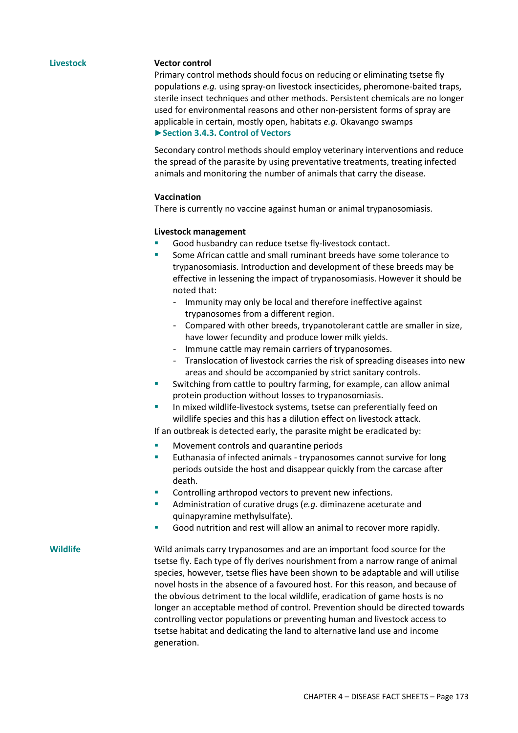### **Livestock Vector control**

Primary control methods should focus on reducing or eliminating tsetse fly populations *e.g.* using spray-on livestock insecticides, pheromone-baited traps, sterile insect techniques and other methods. Persistent chemicals are no longer used for environmental reasons and other non-persistent forms of spray are applicable in certain, mostly open, habitats *e.g.* Okavango swamps **►Section 3.4.3. Control of Vectors** 

Secondary control methods should employ veterinary interventions and reduce the spread of the parasite by using preventative treatments, treating infected animals and monitoring the number of animals that carry the disease.

### **Vaccination**

There is currently no vaccine against human or animal trypanosomiasis.

### **Livestock management**

- Good husbandry can reduce tsetse fly-livestock contact.
- Some African cattle and small ruminant breeds have some tolerance to trypanosomiasis. Introduction and development of these breeds may be effective in lessening the impact of trypanosomiasis. However it should be noted that:
	- Immunity may only be local and therefore ineffective against trypanosomes from a different region.
	- Compared with other breeds, trypanotolerant cattle are smaller in size, have lower fecundity and produce lower milk yields.
	- Immune cattle may remain carriers of trypanosomes.
	- Translocation of livestock carries the risk of spreading diseases into new areas and should be accompanied by strict sanitary controls.
- Switching from cattle to poultry farming, for example, can allow animal protein production without losses to trypanosomiasis.
- In mixed wildlife-livestock systems, tsetse can preferentially feed on wildlife species and this has a dilution effect on livestock attack.

If an outbreak is detected early, the parasite might be eradicated by:

- Movement controls and quarantine periods
- Euthanasia of infected animals trypanosomes cannot survive for long periods outside the host and disappear quickly from the carcase after death.
- Controlling arthropod vectors to prevent new infections.
- Administration of curative drugs (*e.g.* diminazene aceturate and quinapyramine methylsulfate).
- Good nutrition and rest will allow an animal to recover more rapidly.

**Wildlife** Wild animals carry trypanosomes and are an important food source for the tsetse fly. Each type of fly derives nourishment from a narrow range of animal species, however, tsetse flies have been shown to be adaptable and will utilise novel hosts in the absence of a favoured host. For this reason, and because of the obvious detriment to the local wildlife, eradication of game hosts is no longer an acceptable method of control. Prevention should be directed towards controlling vector populations or preventing human and livestock access to tsetse habitat and dedicating the land to alternative land use and income generation.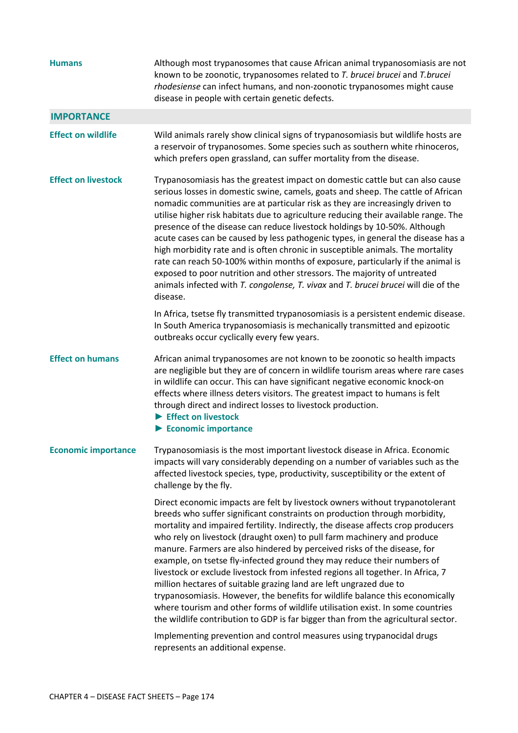| <b>Humans</b>              | Although most trypanosomes that cause African animal trypanosomiasis are not<br>known to be zoonotic, trypanosomes related to T. brucei brucei and T. brucei<br>rhodesiense can infect humans, and non-zoonotic trypanosomes might cause<br>disease in people with certain genetic defects.                                                                                                                                                                                                                                                                                                                                                                                                                                                                                                                                                                                                                                                                                |
|----------------------------|----------------------------------------------------------------------------------------------------------------------------------------------------------------------------------------------------------------------------------------------------------------------------------------------------------------------------------------------------------------------------------------------------------------------------------------------------------------------------------------------------------------------------------------------------------------------------------------------------------------------------------------------------------------------------------------------------------------------------------------------------------------------------------------------------------------------------------------------------------------------------------------------------------------------------------------------------------------------------|
| <b>IMPORTANCE</b>          |                                                                                                                                                                                                                                                                                                                                                                                                                                                                                                                                                                                                                                                                                                                                                                                                                                                                                                                                                                            |
| <b>Effect on wildlife</b>  | Wild animals rarely show clinical signs of trypanosomiasis but wildlife hosts are<br>a reservoir of trypanosomes. Some species such as southern white rhinoceros,<br>which prefers open grassland, can suffer mortality from the disease.                                                                                                                                                                                                                                                                                                                                                                                                                                                                                                                                                                                                                                                                                                                                  |
| <b>Effect on livestock</b> | Trypanosomiasis has the greatest impact on domestic cattle but can also cause<br>serious losses in domestic swine, camels, goats and sheep. The cattle of African<br>nomadic communities are at particular risk as they are increasingly driven to<br>utilise higher risk habitats due to agriculture reducing their available range. The<br>presence of the disease can reduce livestock holdings by 10-50%. Although<br>acute cases can be caused by less pathogenic types, in general the disease has a<br>high morbidity rate and is often chronic in susceptible animals. The mortality<br>rate can reach 50-100% within months of exposure, particularly if the animal is<br>exposed to poor nutrition and other stressors. The majority of untreated<br>animals infected with T. congolense, T. vivax and T. brucei brucei will die of the<br>disease.                                                                                                              |
|                            | In Africa, tsetse fly transmitted trypanosomiasis is a persistent endemic disease.<br>In South America trypanosomiasis is mechanically transmitted and epizootic<br>outbreaks occur cyclically every few years.                                                                                                                                                                                                                                                                                                                                                                                                                                                                                                                                                                                                                                                                                                                                                            |
| <b>Effect on humans</b>    | African animal trypanosomes are not known to be zoonotic so health impacts<br>are negligible but they are of concern in wildlife tourism areas where rare cases<br>in wildlife can occur. This can have significant negative economic knock-on<br>effects where illness deters visitors. The greatest impact to humans is felt<br>through direct and indirect losses to livestock production.<br>$\blacktriangleright$ Effect on livestock<br>$\blacktriangleright$ Economic importance                                                                                                                                                                                                                                                                                                                                                                                                                                                                                    |
| <b>Economic importance</b> | Trypanosomiasis is the most important livestock disease in Africa. Economic<br>impacts will vary considerably depending on a number of variables such as the<br>affected livestock species, type, productivity, susceptibility or the extent of<br>challenge by the fly.                                                                                                                                                                                                                                                                                                                                                                                                                                                                                                                                                                                                                                                                                                   |
|                            | Direct economic impacts are felt by livestock owners without trypanotolerant<br>breeds who suffer significant constraints on production through morbidity,<br>mortality and impaired fertility. Indirectly, the disease affects crop producers<br>who rely on livestock (draught oxen) to pull farm machinery and produce<br>manure. Farmers are also hindered by perceived risks of the disease, for<br>example, on tsetse fly-infected ground they may reduce their numbers of<br>livestock or exclude livestock from infested regions all together. In Africa, 7<br>million hectares of suitable grazing land are left ungrazed due to<br>trypanosomiasis. However, the benefits for wildlife balance this economically<br>where tourism and other forms of wildlife utilisation exist. In some countries<br>the wildlife contribution to GDP is far bigger than from the agricultural sector.<br>Implementing prevention and control measures using trypanocidal drugs |
|                            | represents an additional expense.                                                                                                                                                                                                                                                                                                                                                                                                                                                                                                                                                                                                                                                                                                                                                                                                                                                                                                                                          |